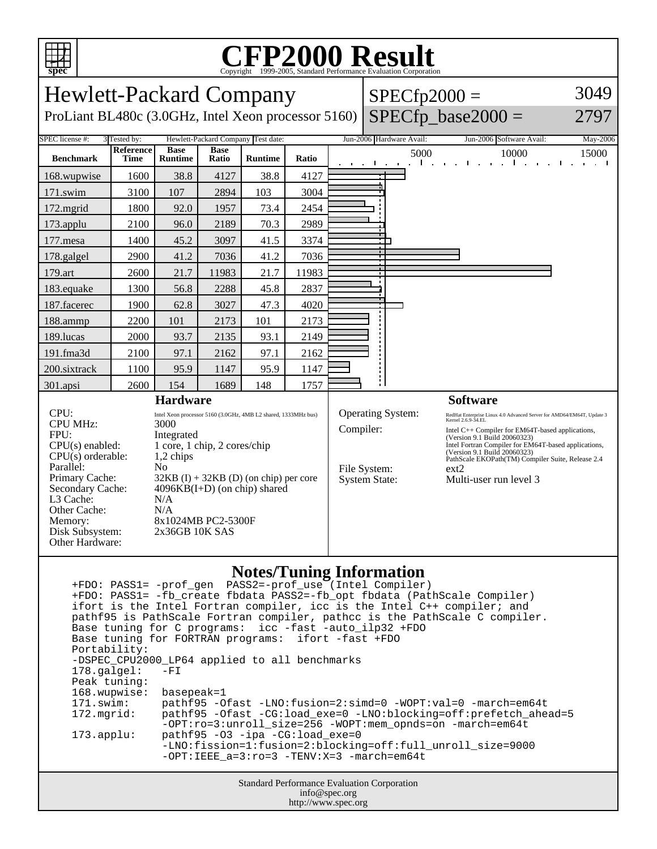

## **CFP2000 Result** Copyright ©1999-2005, Standard Performance Evaluation Corporation

| <b>Hewlett-Packard Company</b><br>ProLiant BL480c (3.0GHz, Intel Xeon processor 5160)                                                                                                                                                                                                                                                                                                                                                                                                                 |                           |                |             |                                    |                                                                                                                                                                                                                                                                                                                                                                                                                                                 | $SPECfp2000 =$                   | $SPECfp\_base2000 =$              | 3049<br>2797      |
|-------------------------------------------------------------------------------------------------------------------------------------------------------------------------------------------------------------------------------------------------------------------------------------------------------------------------------------------------------------------------------------------------------------------------------------------------------------------------------------------------------|---------------------------|----------------|-------------|------------------------------------|-------------------------------------------------------------------------------------------------------------------------------------------------------------------------------------------------------------------------------------------------------------------------------------------------------------------------------------------------------------------------------------------------------------------------------------------------|----------------------------------|-----------------------------------|-------------------|
| SPEC license #:                                                                                                                                                                                                                                                                                                                                                                                                                                                                                       | 3 Tested by:<br>Reference | <b>Base</b>    | <b>Base</b> | Hewlett-Packard Company Test date: |                                                                                                                                                                                                                                                                                                                                                                                                                                                 | Jun-2006 Hardware Avail:<br>5000 | Jun-2006 Software Avail:<br>10000 | May-2006<br>15000 |
| <b>Benchmark</b>                                                                                                                                                                                                                                                                                                                                                                                                                                                                                      | <b>Time</b>               | <b>Runtime</b> | Ratio       | <b>Runtime</b>                     | Ratio                                                                                                                                                                                                                                                                                                                                                                                                                                           | and a state of                   | $\mathbf{I}$                      | $\mathcal{L}$     |
| 168.wupwise                                                                                                                                                                                                                                                                                                                                                                                                                                                                                           | 1600                      | 38.8           | 4127        | 38.8                               | 4127                                                                                                                                                                                                                                                                                                                                                                                                                                            |                                  |                                   |                   |
| 171.swim                                                                                                                                                                                                                                                                                                                                                                                                                                                                                              | 3100                      | 107            | 2894        | 103                                | 3004                                                                                                                                                                                                                                                                                                                                                                                                                                            |                                  |                                   |                   |
| 172.mgrid                                                                                                                                                                                                                                                                                                                                                                                                                                                                                             | 1800                      | 92.0           | 1957        | 73.4                               | 2454                                                                                                                                                                                                                                                                                                                                                                                                                                            |                                  |                                   |                   |
| 173.applu                                                                                                                                                                                                                                                                                                                                                                                                                                                                                             | 2100                      | 96.0           | 2189        | 70.3                               | 2989                                                                                                                                                                                                                                                                                                                                                                                                                                            |                                  |                                   |                   |
| 177.mesa                                                                                                                                                                                                                                                                                                                                                                                                                                                                                              | 1400                      | 45.2           | 3097        | 41.5                               | 3374                                                                                                                                                                                                                                                                                                                                                                                                                                            |                                  |                                   |                   |
| 178.galgel                                                                                                                                                                                                                                                                                                                                                                                                                                                                                            | 2900                      | 41.2           | 7036        | 41.2                               | 7036                                                                                                                                                                                                                                                                                                                                                                                                                                            |                                  |                                   |                   |
| 179.art                                                                                                                                                                                                                                                                                                                                                                                                                                                                                               | 2600                      | 21.7           | 11983       | 21.7                               | 11983                                                                                                                                                                                                                                                                                                                                                                                                                                           |                                  |                                   |                   |
| 183.equake                                                                                                                                                                                                                                                                                                                                                                                                                                                                                            | 1300                      | 56.8           | 2288        | 45.8                               | 2837                                                                                                                                                                                                                                                                                                                                                                                                                                            |                                  |                                   |                   |
| 187.facerec                                                                                                                                                                                                                                                                                                                                                                                                                                                                                           | 1900                      | 62.8           | 3027        | 47.3                               | 4020                                                                                                                                                                                                                                                                                                                                                                                                                                            |                                  |                                   |                   |
| 188.ammp                                                                                                                                                                                                                                                                                                                                                                                                                                                                                              | 2200                      | 101            | 2173        | 101                                | 2173                                                                                                                                                                                                                                                                                                                                                                                                                                            |                                  |                                   |                   |
| 189.lucas                                                                                                                                                                                                                                                                                                                                                                                                                                                                                             | 2000                      | 93.7           | 2135        | 93.1                               | 2149                                                                                                                                                                                                                                                                                                                                                                                                                                            |                                  |                                   |                   |
| 191.fma3d                                                                                                                                                                                                                                                                                                                                                                                                                                                                                             | 2100                      | 97.1           | 2162        | 97.1                               | 2162                                                                                                                                                                                                                                                                                                                                                                                                                                            |                                  |                                   |                   |
| 200.sixtrack                                                                                                                                                                                                                                                                                                                                                                                                                                                                                          | 1100                      | 95.9           | 1147        | 95.9                               | 1147                                                                                                                                                                                                                                                                                                                                                                                                                                            |                                  |                                   |                   |
| 301.apsi                                                                                                                                                                                                                                                                                                                                                                                                                                                                                              | 2600                      | 154            | 1689        | 148                                | 1757                                                                                                                                                                                                                                                                                                                                                                                                                                            |                                  |                                   |                   |
| <b>Hardware</b>                                                                                                                                                                                                                                                                                                                                                                                                                                                                                       |                           |                |             |                                    |                                                                                                                                                                                                                                                                                                                                                                                                                                                 |                                  | <b>Software</b>                   |                   |
| CPU:<br>Intel Xeon processor 5160 (3.0GHz, 4MB L2 shared, 1333MHz bus)<br><b>CPU MHz:</b><br>3000<br>FPU:<br>Integrated<br>$CPU(s)$ enabled:<br>1 core, 1 chip, 2 cores/chip<br>CPU(s) orderable:<br>1,2 chips<br>Parallel:<br>N <sub>0</sub><br>Primary Cache:<br>$32KB$ (I) + 32KB (D) (on chip) per core<br>$4096KB(I+D)$ (on chip) shared<br>Secondary Cache:<br>L3 Cache:<br>N/A<br>Other Cache:<br>N/A<br>8x1024MB PC2-5300F<br>Memory:<br>Disk Subsystem:<br>2x36GB 10K SAS<br>Other Hardware: |                           |                |             |                                    | <b>Operating System:</b><br>RedHat Enterprise Linux 4.0 Advanced Server for AMD64/EM64T, Update 3<br>Kernel 2.6.9-34.EL<br>Compiler:<br>Intel C++ Compiler for EM64T-based applications,<br>(Version 9.1 Build 20060323)<br>Intel Fortran Compiler for EM64T-based applications,<br>(Version 9.1 Build 20060323)<br>PathScale EKOPath(TM) Compiler Suite, Release 2.4<br>File System:<br>ext2<br><b>System State:</b><br>Multi-user run level 3 |                                  |                                   |                   |

## **Notes/Tuning Information**

Standard Performance Evaluation Corporation +FDO: PASS1= -prof\_gen PASS2=-prof\_use (Intel Compiler) +FDO: PASS1= -fb\_create fbdata PASS2=-fb\_opt fbdata (PathScale Compiler) ifort is the Intel Fortran compiler, icc is the Intel C++ compiler; and pathf95 is PathScale Fortran compiler, pathcc is the PathScale C compiler. Base tuning for C programs: icc -fast -auto\_ilp32 +FDO Base tuning for FORTRAN programs: ifort -fast +FDO Portability: -DSPEC\_CPU2000\_LP64 applied to all benchmarks<br>178.galgel: -FI  $178.galgel:$  Peak tuning: 168.wupwise: basepeak=1 171.swim: pathf95 -Ofast -LNO:fusion=2:simd=0 -WOPT:val=0 -march=em64t 172.mgrid: pathf95 -Ofast -CG:load\_exe=0 -LNO:blocking=off:prefetch\_ahead=5 -OPT:ro=3:unroll\_size=256 -WOPT:mem\_opnds=on -march=em64t 173.applu: pathf95 -O3 -ipa -CG:load\_exe=0 -LNO:fission=1:fusion=2:blocking=off:full\_unroll\_size=9000 -OPT:IEEE\_a=3:ro=3 -TENV:X=3 -march=em64t

info@spec.org http://www.spec.org